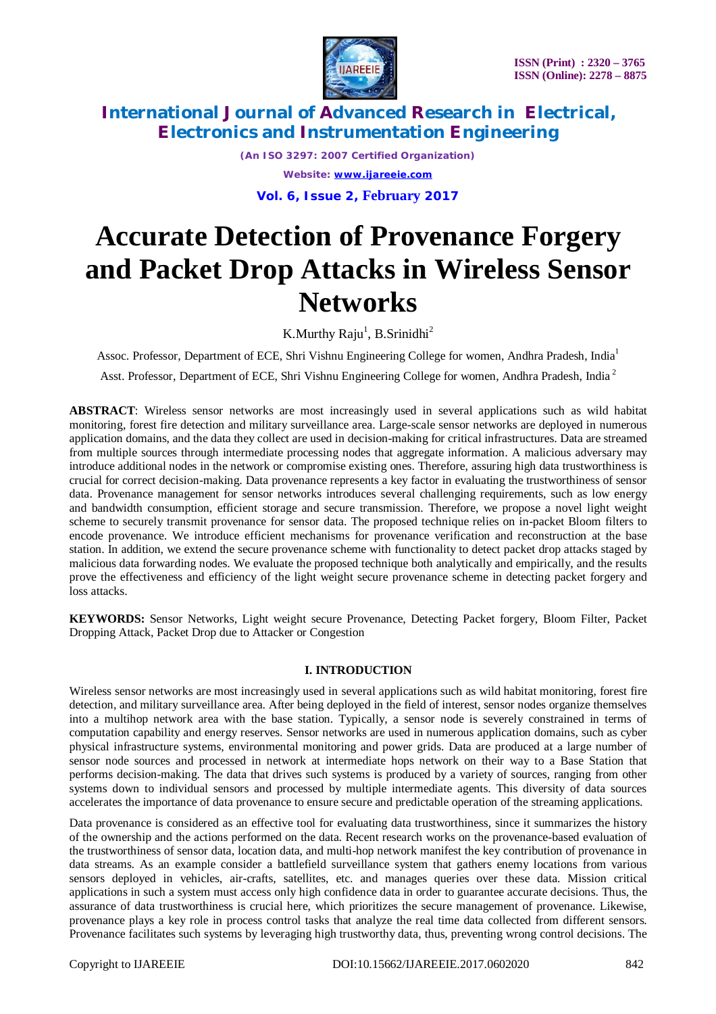

*(An ISO 3297: 2007 Certified Organization) Website: [www.ijareeie.com](http://www.ijareeie.com)* **Vol. 6, Issue 2, February 2017**

# **Accurate Detection of Provenance Forgery and Packet Drop Attacks in Wireless Sensor Networks**

K.Murthy Raju<sup>1</sup>, B.Srinidhi<sup>2</sup>

Assoc. Professor, Department of ECE, Shri Vishnu Engineering College for women, Andhra Pradesh, India<sup>1</sup>

Asst. Professor, Department of ECE, Shri Vishnu Engineering College for women, Andhra Pradesh, India <sup>2</sup>

**ABSTRACT**: Wireless sensor networks are most increasingly used in several applications such as wild habitat monitoring, forest fire detection and military surveillance area. Large-scale sensor networks are deployed in numerous application domains, and the data they collect are used in decision-making for critical infrastructures. Data are streamed from multiple sources through intermediate processing nodes that aggregate information. A malicious adversary may introduce additional nodes in the network or compromise existing ones. Therefore, assuring high data trustworthiness is crucial for correct decision-making. Data provenance represents a key factor in evaluating the trustworthiness of sensor data. Provenance management for sensor networks introduces several challenging requirements, such as low energy and bandwidth consumption, efficient storage and secure transmission. Therefore, we propose a novel light weight scheme to securely transmit provenance for sensor data. The proposed technique relies on in-packet Bloom filters to encode provenance. We introduce efficient mechanisms for provenance verification and reconstruction at the base station. In addition, we extend the secure provenance scheme with functionality to detect packet drop attacks staged by malicious data forwarding nodes. We evaluate the proposed technique both analytically and empirically, and the results prove the effectiveness and efficiency of the light weight secure provenance scheme in detecting packet forgery and loss attacks.

**KEYWORDS:** Sensor Networks, Light weight secure Provenance, Detecting Packet forgery, Bloom Filter, Packet Dropping Attack, Packet Drop due to Attacker or Congestion

### **I. INTRODUCTION**

Wireless sensor networks are most increasingly used in several applications such as wild habitat monitoring, forest fire detection, and military surveillance area. After being deployed in the field of interest, sensor nodes organize themselves into a multihop network area with the base station. Typically, a sensor node is severely constrained in terms of computation capability and energy reserves. Sensor networks are used in numerous application domains, such as cyber physical infrastructure systems, environmental monitoring and power grids. Data are produced at a large number of sensor node sources and processed in network at intermediate hops network on their way to a Base Station that performs decision-making. The data that drives such systems is produced by a variety of sources, ranging from other systems down to individual sensors and processed by multiple intermediate agents. This diversity of data sources accelerates the importance of data provenance to ensure secure and predictable operation of the streaming applications.

Data provenance is considered as an effective tool for evaluating data trustworthiness, since it summarizes the history of the ownership and the actions performed on the data. Recent research works on the provenance-based evaluation of the trustworthiness of sensor data, location data, and multi-hop network manifest the key contribution of provenance in data streams. As an example consider a battlefield surveillance system that gathers enemy locations from various sensors deployed in vehicles, air-crafts, satellites, etc. and manages queries over these data. Mission critical applications in such a system must access only high confidence data in order to guarantee accurate decisions. Thus, the assurance of data trustworthiness is crucial here, which prioritizes the secure management of provenance. Likewise, provenance plays a key role in process control tasks that analyze the real time data collected from different sensors. Provenance facilitates such systems by leveraging high trustworthy data, thus, preventing wrong control decisions. The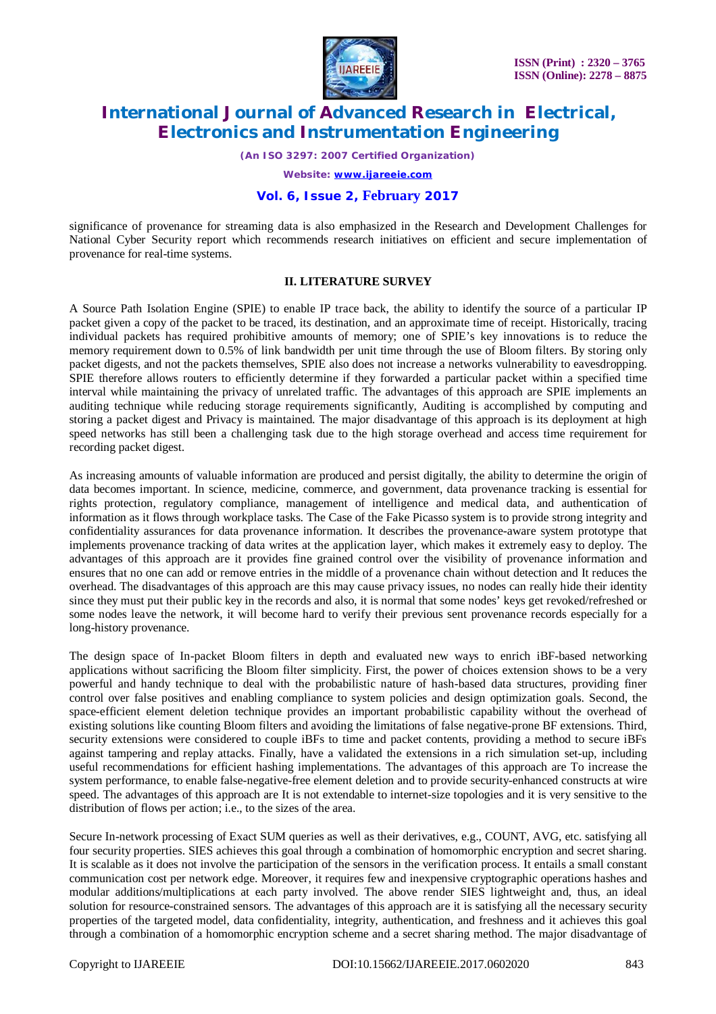

*(An ISO 3297: 2007 Certified Organization)*

*Website: [www.ijareeie.com](http://www.ijareeie.com)*

### **Vol. 6, Issue 2, February 2017**

significance of provenance for streaming data is also emphasized in the Research and Development Challenges for National Cyber Security report which recommends research initiatives on efficient and secure implementation of provenance for real-time systems.

#### **II. LITERATURE SURVEY**

A Source Path Isolation Engine (SPIE) to enable IP trace back, the ability to identify the source of a particular IP packet given a copy of the packet to be traced, its destination, and an approximate time of receipt. Historically, tracing individual packets has required prohibitive amounts of memory; one of SPIE's key innovations is to reduce the memory requirement down to 0.5% of link bandwidth per unit time through the use of Bloom filters. By storing only packet digests, and not the packets themselves, SPIE also does not increase a networks vulnerability to eavesdropping. SPIE therefore allows routers to efficiently determine if they forwarded a particular packet within a specified time interval while maintaining the privacy of unrelated traffic. The advantages of this approach are SPIE implements an auditing technique while reducing storage requirements significantly, Auditing is accomplished by computing and storing a packet digest and Privacy is maintained. The major disadvantage of this approach is its deployment at high speed networks has still been a challenging task due to the high storage overhead and access time requirement for recording packet digest.

As increasing amounts of valuable information are produced and persist digitally, the ability to determine the origin of data becomes important. In science, medicine, commerce, and government, data provenance tracking is essential for rights protection, regulatory compliance, management of intelligence and medical data, and authentication of information as it flows through workplace tasks. The Case of the Fake Picasso system is to provide strong integrity and confidentiality assurances for data provenance information. It describes the provenance-aware system prototype that implements provenance tracking of data writes at the application layer, which makes it extremely easy to deploy. The advantages of this approach are it provides fine grained control over the visibility of provenance information and ensures that no one can add or remove entries in the middle of a provenance chain without detection and It reduces the overhead. The disadvantages of this approach are this may cause privacy issues, no nodes can really hide their identity since they must put their public key in the records and also, it is normal that some nodes' keys get revoked/refreshed or some nodes leave the network, it will become hard to verify their previous sent provenance records especially for a long-history provenance.

The design space of In-packet Bloom filters in depth and evaluated new ways to enrich iBF-based networking applications without sacrificing the Bloom filter simplicity. First, the power of choices extension shows to be a very powerful and handy technique to deal with the probabilistic nature of hash-based data structures, providing finer control over false positives and enabling compliance to system policies and design optimization goals. Second, the space-efficient element deletion technique provides an important probabilistic capability without the overhead of existing solutions like counting Bloom filters and avoiding the limitations of false negative-prone BF extensions. Third, security extensions were considered to couple iBFs to time and packet contents, providing a method to secure iBFs against tampering and replay attacks. Finally, have a validated the extensions in a rich simulation set-up, including useful recommendations for efficient hashing implementations. The advantages of this approach are To increase the system performance, to enable false-negative-free element deletion and to provide security-enhanced constructs at wire speed. The advantages of this approach are It is not extendable to internet-size topologies and it is very sensitive to the distribution of flows per action; i.e., to the sizes of the area.

Secure In-network processing of Exact SUM queries as well as their derivatives, e.g., COUNT, AVG, etc. satisfying all four security properties. SIES achieves this goal through a combination of homomorphic encryption and secret sharing. It is scalable as it does not involve the participation of the sensors in the verification process. It entails a small constant communication cost per network edge. Moreover, it requires few and inexpensive cryptographic operations hashes and modular additions/multiplications at each party involved. The above render SIES lightweight and, thus, an ideal solution for resource-constrained sensors. The advantages of this approach are it is satisfying all the necessary security properties of the targeted model, data confidentiality, integrity, authentication, and freshness and it achieves this goal through a combination of a homomorphic encryption scheme and a secret sharing method. The major disadvantage of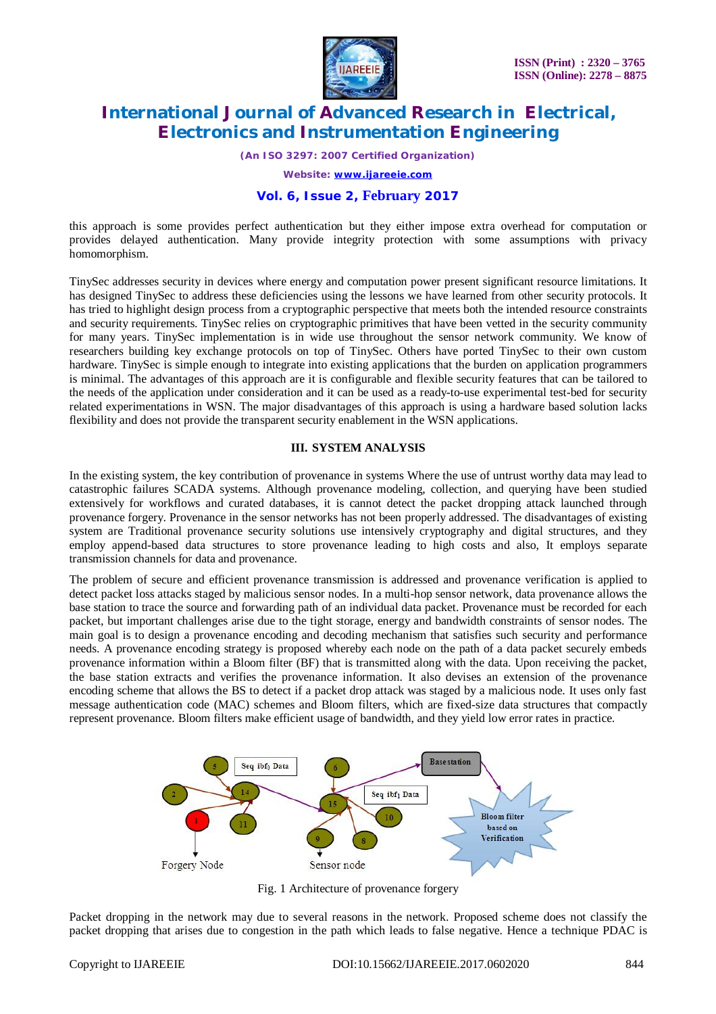

*(An ISO 3297: 2007 Certified Organization)*

*Website: [www.ijareeie.com](http://www.ijareeie.com)*

### **Vol. 6, Issue 2, February 2017**

this approach is some provides perfect authentication but they either impose extra overhead for computation or provides delayed authentication. Many provide integrity protection with some assumptions with privacy homomorphism.

TinySec addresses security in devices where energy and computation power present significant resource limitations. It has designed TinySec to address these deficiencies using the lessons we have learned from other security protocols. It has tried to highlight design process from a cryptographic perspective that meets both the intended resource constraints and security requirements. TinySec relies on cryptographic primitives that have been vetted in the security community for many years. TinySec implementation is in wide use throughout the sensor network community. We know of researchers building key exchange protocols on top of TinySec. Others have ported TinySec to their own custom hardware. TinySec is simple enough to integrate into existing applications that the burden on application programmers is minimal. The advantages of this approach are it is configurable and flexible security features that can be tailored to the needs of the application under consideration and it can be used as a ready-to-use experimental test-bed for security related experimentations in WSN. The major disadvantages of this approach is using a hardware based solution lacks flexibility and does not provide the transparent security enablement in the WSN applications.

### **III. SYSTEM ANALYSIS**

In the existing system, the key contribution of provenance in systems Where the use of untrust worthy data may lead to catastrophic failures SCADA systems. Although provenance modeling, collection, and querying have been studied extensively for workflows and curated databases, it is cannot detect the packet dropping attack launched through provenance forgery. Provenance in the sensor networks has not been properly addressed. The disadvantages of existing system are Traditional provenance security solutions use intensively cryptography and digital structures, and they employ append-based data structures to store provenance leading to high costs and also, It employs separate transmission channels for data and provenance.

The problem of secure and efficient provenance transmission is addressed and provenance verification is applied to detect packet loss attacks staged by malicious sensor nodes. In a multi-hop sensor network, data provenance allows the base station to trace the source and forwarding path of an individual data packet. Provenance must be recorded for each packet, but important challenges arise due to the tight storage, energy and bandwidth constraints of sensor nodes. The main goal is to design a provenance encoding and decoding mechanism that satisfies such security and performance needs. A provenance encoding strategy is proposed whereby each node on the path of a data packet securely embeds provenance information within a Bloom filter (BF) that is transmitted along with the data. Upon receiving the packet, the base station extracts and verifies the provenance information. It also devises an extension of the provenance encoding scheme that allows the BS to detect if a packet drop attack was staged by a malicious node. It uses only fast message authentication code (MAC) schemes and Bloom filters, which are fixed-size data structures that compactly represent provenance. Bloom filters make efficient usage of bandwidth, and they yield low error rates in practice.



Fig. 1 Architecture of provenance forgery

Packet dropping in the network may due to several reasons in the network. Proposed scheme does not classify the packet dropping that arises due to congestion in the path which leads to false negative. Hence a technique PDAC is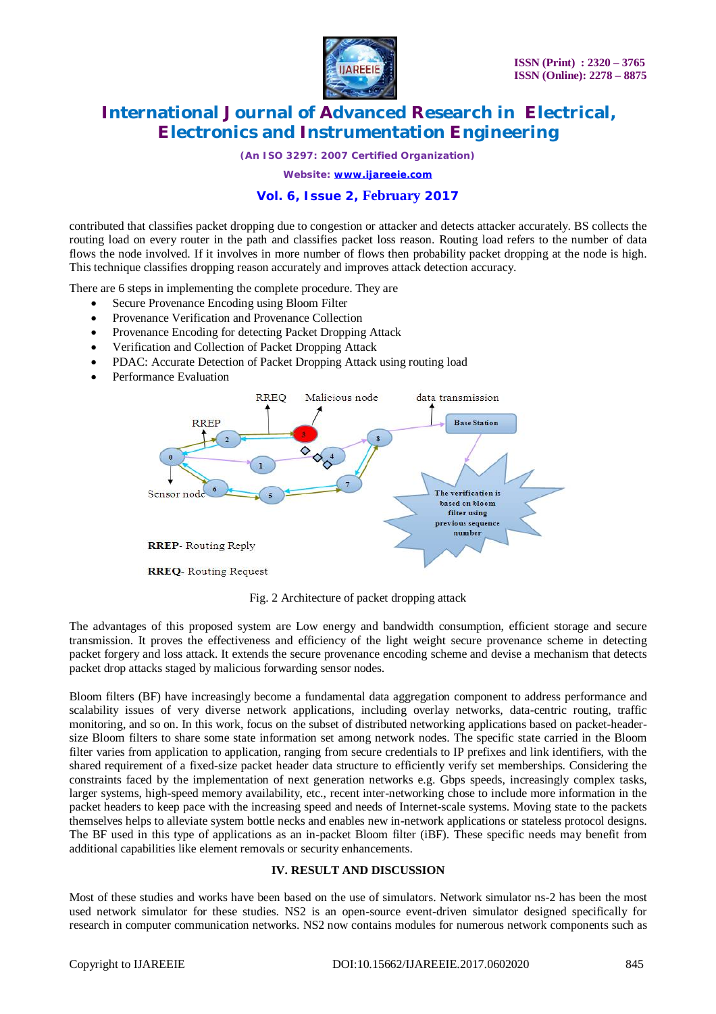

*(An ISO 3297: 2007 Certified Organization)*

*Website: [www.ijareeie.com](http://www.ijareeie.com)*

### **Vol. 6, Issue 2, February 2017**

contributed that classifies packet dropping due to congestion or attacker and detects attacker accurately. BS collects the routing load on every router in the path and classifies packet loss reason. Routing load refers to the number of data flows the node involved. If it involves in more number of flows then probability packet dropping at the node is high. This technique classifies dropping reason accurately and improves attack detection accuracy.

There are 6 steps in implementing the complete procedure. They are

- Secure Provenance Encoding using Bloom Filter
- Provenance Verification and Provenance Collection
- Provenance Encoding for detecting Packet Dropping Attack
- Verification and Collection of Packet Dropping Attack
- PDAC: Accurate Detection of Packet Dropping Attack using routing load
- Performance Evaluation



Fig. 2 Architecture of packet dropping attack

The advantages of this proposed system are Low energy and bandwidth consumption, efficient storage and secure transmission. It proves the effectiveness and efficiency of the light weight secure provenance scheme in detecting packet forgery and loss attack. It extends the secure provenance encoding scheme and devise a mechanism that detects packet drop attacks staged by malicious forwarding sensor nodes.

Bloom filters (BF) have increasingly become a fundamental data aggregation component to address performance and scalability issues of very diverse network applications, including overlay networks, data-centric routing, traffic monitoring, and so on. In this work, focus on the subset of distributed networking applications based on packet-headersize Bloom filters to share some state information set among network nodes. The specific state carried in the Bloom filter varies from application to application, ranging from secure credentials to IP prefixes and link identifiers, with the shared requirement of a fixed-size packet header data structure to efficiently verify set memberships. Considering the constraints faced by the implementation of next generation networks e.g. Gbps speeds, increasingly complex tasks, larger systems, high-speed memory availability, etc., recent inter-networking chose to include more information in the packet headers to keep pace with the increasing speed and needs of Internet-scale systems. Moving state to the packets themselves helps to alleviate system bottle necks and enables new in-network applications or stateless protocol designs. The BF used in this type of applications as an in-packet Bloom filter (iBF). These specific needs may benefit from additional capabilities like element removals or security enhancements.

#### **IV. RESULT AND DISCUSSION**

Most of these studies and works have been based on the use of simulators. Network simulator ns-2 has been the most used network simulator for these studies. NS2 is an open-source event-driven simulator designed specifically for research in computer communication networks. NS2 now contains modules for numerous network components such as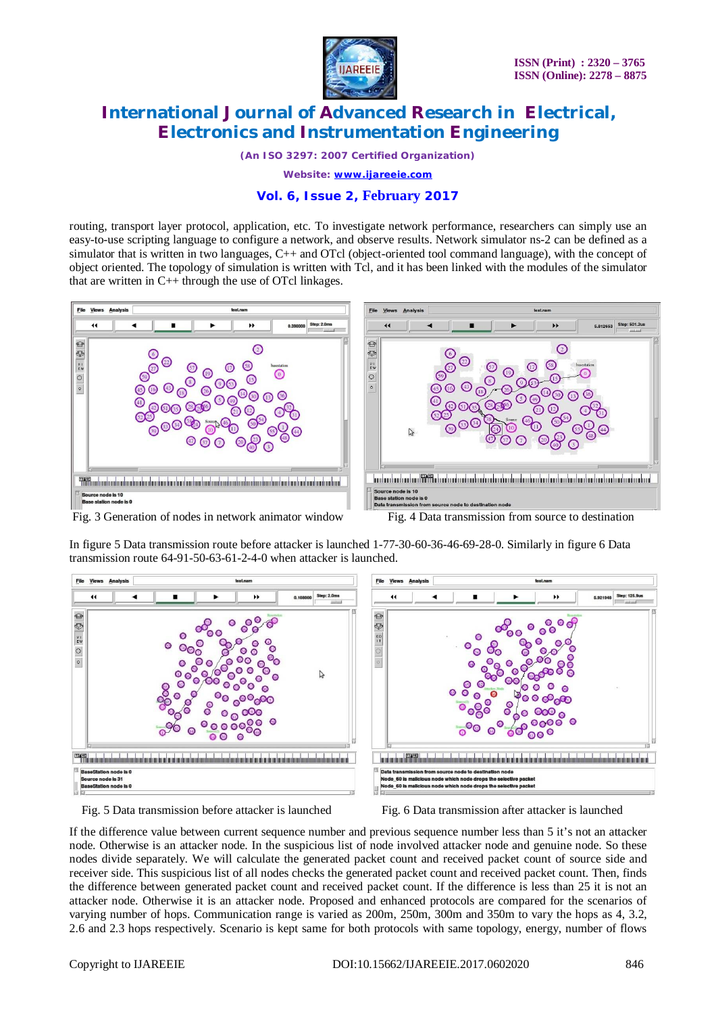

*(An ISO 3297: 2007 Certified Organization)*

*Website: [www.ijareeie.com](http://www.ijareeie.com)*

## **Vol. 6, Issue 2, February 2017**

routing, transport layer protocol, application, etc. To investigate network performance, researchers can simply use an easy-to-use scripting language to configure a network, and observe results. Network simulator ns-2 can be defined as a simulator that is written in two languages, C++ and OTcl (object-oriented tool command language), with the concept of object oriented. The topology of simulation is written with Tcl, and it has been linked with the modules of the simulator that are written in  $C_{++}$  through the use of OTcl linkages.



In figure 5 Data transmission route before attacker is launched 1-77-30-60-36-46-69-28-0. Similarly in figure 6 Data



transmission route 64-91-50-63-61-2-4-0 when attacker is launched.



Fig. 5 Data transmission before attacker is launched Fig. 6 Data transmission after attacker is launched

If the difference value between current sequence number and previous sequence number less than 5 it's not an attacker node. Otherwise is an attacker node. In the suspicious list of node involved attacker node and genuine node. So these nodes divide separately. We will calculate the generated packet count and received packet count of source side and receiver side. This suspicious list of all nodes checks the generated packet count and received packet count. Then, finds the difference between generated packet count and received packet count. If the difference is less than 25 it is not an attacker node. Otherwise it is an attacker node. Proposed and enhanced protocols are compared for the scenarios of varying number of hops. Communication range is varied as 200m, 250m, 300m and 350m to vary the hops as 4, 3.2, 2.6 and 2.3 hops respectively. Scenario is kept same for both protocols with same topology, energy, number of flows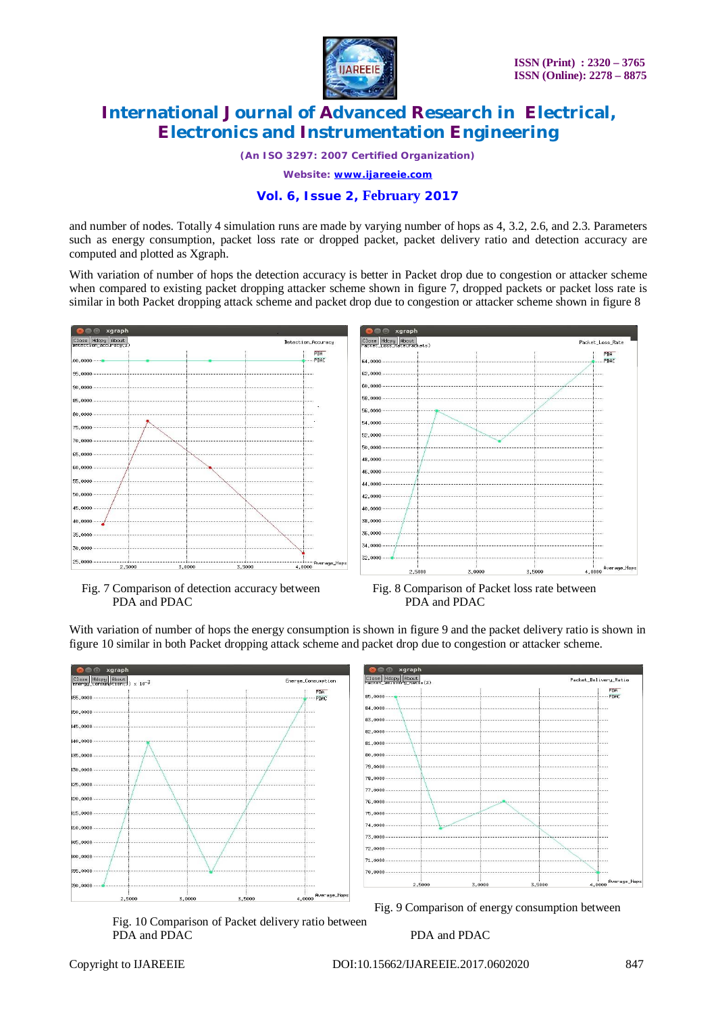

*(An ISO 3297: 2007 Certified Organization)*

*Website: [www.ijareeie.com](http://www.ijareeie.com)*

### **Vol. 6, Issue 2, February 2017**

and number of nodes. Totally 4 simulation runs are made by varying number of hops as 4, 3.2, 2.6, and 2.3. Parameters such as energy consumption, packet loss rate or dropped packet, packet delivery ratio and detection accuracy are computed and plotted as Xgraph.

With variation of number of hops the detection accuracy is better in Packet drop due to congestion or attacker scheme when compared to existing packet dropping attacker scheme shown in figure 7, dropped packets or packet loss rate is similar in both Packet dropping attack scheme and packet drop due to congestion or attacker scheme shown in figure 8







With variation of number of hops the energy consumption is shown in figure 9 and the packet delivery ratio is shown in figure 10 similar in both Packet dropping attack scheme and packet drop due to congestion or attacker scheme.







Fig. 10 Comparison of Packet delivery ratio between PDA and PDAC PDA and PDAC